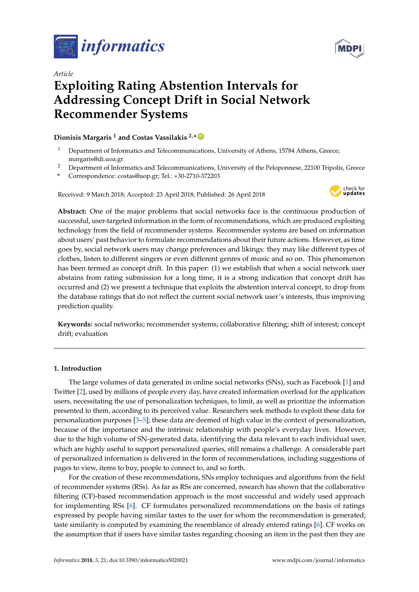



# *Article* **Exploiting Rating Abstention Intervals for Addressing Concept Drift in Social Network Recommender Systems**

# **Dionisis Margaris <sup>1</sup> and Costas Vassilakis 2,\* [ID](https://orcid.org/0000-0001-9940-1821)**

- <sup>1</sup> Department of Informatics and Telecommunications, University of Athens, 15784 Athens, Greece; margaris@di.uoa.gr
- <sup>2</sup> Department of Informatics and Telecommunications, University of the Peloponnese, 22100 Tripolis, Greece
- **\*** Correspondence: costas@uop.gr; Tel.: +30-2710-372203

Received: 9 March 2018; Accepted: 23 April 2018; Published: 26 April 2018



**Abstract:** One of the major problems that social networks face is the continuous production of successful, user-targeted information in the form of recommendations, which are produced exploiting technology from the field of recommender systems. Recommender systems are based on information about users' past behavior to formulate recommendations about their future actions. However, as time goes by, social network users may change preferences and likings: they may like different types of clothes, listen to different singers or even different genres of music and so on. This phenomenon has been termed as concept drift. In this paper: (1) we establish that when a social network user abstains from rating submission for a long time, it is a strong indication that concept drift has occurred and (2) we present a technique that exploits the abstention interval concept, to drop from the database ratings that do not reflect the current social network user's interests, thus improving prediction quality.

**Keywords:** social networks; recommender systems; collaborative filtering; shift of interest; concept drift; evaluation

# **1. Introduction**

The large volumes of data generated in online social networks (SNs), such as Facebook [\[1\]](#page-17-0) and Twitter [\[2\]](#page-17-1), used by millions of people every day, have created information overload for the application users, necessitating the use of personalization techniques, to limit, as well as prioritize the information presented to them, according to its perceived value. Researchers seek methods to exploit these data for personalization purposes [\[3–](#page-17-2)[5\]](#page-17-3); these data are deemed of high value in the context of personalization, because of the importance and the intrinsic relationship with people's everyday lives. However, due to the high volume of SN-generated data, identifying the data relevant to each individual user, which are highly useful to support personalized queries, still remains a challenge. A considerable part of personalized information is delivered in the form of recommendations, including suggestions of pages to view, items to buy, people to connect to, and so forth.

For the creation of these recommendations, SNs employ techniques and algorithms from the field of recommender systems (RSs). As far as RSs are concerned, research has shown that the collaborative filtering (CF)-based recommendation approach is the most successful and widely used approach for implementing RSs [\[6\]](#page-17-4). CF formulates personalized recommendations on the basis of ratings expressed by people having similar tastes to the user for whom the recommendation is generated; taste similarity is computed by examining the resemblance of already entered ratings [\[6\]](#page-17-4). CF works on the assumption that if users have similar tastes regarding choosing an item in the past then they are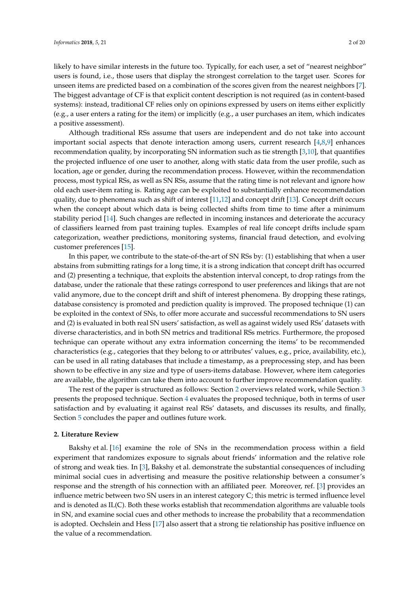likely to have similar interests in the future too. Typically, for each user, a set of "nearest neighbor" users is found, i.e., those users that display the strongest correlation to the target user. Scores for unseen items are predicted based on a combination of the scores given from the nearest neighbors [\[7\]](#page-17-5). The biggest advantage of CF is that explicit content description is not required (as in content-based systems): instead, traditional CF relies only on opinions expressed by users on items either explicitly (e.g., a user enters a rating for the item) or implicitly (e.g., a user purchases an item, which indicates a positive assessment).

Although traditional RSs assume that users are independent and do not take into account important social aspects that denote interaction among users, current research [\[4,](#page-17-6)[8,](#page-17-7)[9\]](#page-17-8) enhances recommendation quality, by incorporating SN information such as tie strength [\[3,](#page-17-2)[10\]](#page-17-9), that quantifies the projected influence of one user to another, along with static data from the user profile, such as location, age or gender, during the recommendation process. However, within the recommendation process, most typical RSs, as well as SN RSs, assume that the rating time is not relevant and ignore how old each user-item rating is. Rating age can be exploited to substantially enhance recommendation quality, due to phenomena such as shift of interest [\[11,](#page-17-10)[12\]](#page-17-11) and concept drift [\[13\]](#page-17-12). Concept drift occurs when the concept about which data is being collected shifts from time to time after a minimum stability period [\[14\]](#page-17-13). Such changes are reflected in incoming instances and deteriorate the accuracy of classifiers learned from past training tuples. Examples of real life concept drifts include spam categorization, weather predictions, monitoring systems, financial fraud detection, and evolving customer preferences [\[15\]](#page-17-14).

In this paper, we contribute to the state-of-the-art of SN RSs by: (1) establishing that when a user abstains from submitting ratings for a long time, it is a strong indication that concept drift has occurred and (2) presenting a technique, that exploits the abstention interval concept, to drop ratings from the database, under the rationale that these ratings correspond to user preferences and likings that are not valid anymore, due to the concept drift and shift of interest phenomena. By dropping these ratings, database consistency is promoted and prediction quality is improved. The proposed technique (1) can be exploited in the context of SNs, to offer more accurate and successful recommendations to SN users and (2) is evaluated in both real SN users' satisfaction, as well as against widely used RSs' datasets with diverse characteristics, and in both SN metrics and traditional RSs metrics. Furthermore, the proposed technique can operate without any extra information concerning the items' to be recommended characteristics (e.g., categories that they belong to or attributes' values, e.g., price, availability, etc.), can be used in all rating databases that include a timestamp, as a preprocessing step, and has been shown to be effective in any size and type of users-items database. However, where item categories are available, the algorithm can take them into account to further improve recommendation quality.

The rest of the paper is structured as follows: Section [2](#page-1-0) overviews related work, while Section [3](#page-4-0) presents the proposed technique. Section [4](#page-6-0) evaluates the proposed technique, both in terms of user satisfaction and by evaluating it against real RSs' datasets, and discusses its results, and finally, Section [5](#page-16-0) concludes the paper and outlines future work.

# <span id="page-1-0"></span>**2. Literature Review**

Bakshy et al. [\[16\]](#page-17-15) examine the role of SNs in the recommendation process within a field experiment that randomizes exposure to signals about friends' information and the relative role of strong and weak ties. In [\[3\]](#page-17-2), Bakshy et al. demonstrate the substantial consequences of including minimal social cues in advertising and measure the positive relationship between a consumer's response and the strength of his connection with an affiliated peer. Moreover, ref. [\[3\]](#page-17-2) provides an influence metric between two SN users in an interest category C; this metric is termed influence level and is denoted as IL(C). Both these works establish that recommendation algorithms are valuable tools in SN, and examine social cues and other methods to increase the probability that a recommendation is adopted. Oechslein and Hess [\[17\]](#page-18-0) also assert that a strong tie relationship has positive influence on the value of a recommendation.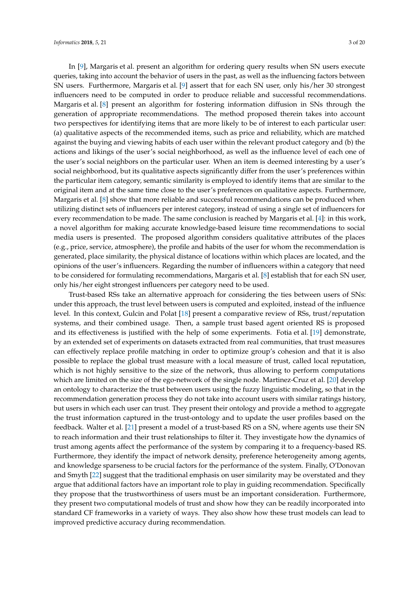In [\[9\]](#page-17-8), Margaris et al. present an algorithm for ordering query results when SN users execute queries, taking into account the behavior of users in the past, as well as the influencing factors between SN users. Furthermore, Margaris et al. [\[9\]](#page-17-8) assert that for each SN user, only his/her 30 strongest influencers need to be computed in order to produce reliable and successful recommendations. Margaris et al. [\[8\]](#page-17-7) present an algorithm for fostering information diffusion in SNs through the generation of appropriate recommendations. The method proposed therein takes into account two perspectives for identifying items that are more likely to be of interest to each particular user: (a) qualitative aspects of the recommended items, such as price and reliability, which are matched against the buying and viewing habits of each user within the relevant product category and (b) the actions and likings of the user's social neighborhood, as well as the influence level of each one of the user's social neighbors on the particular user. When an item is deemed interesting by a user's social neighborhood, but its qualitative aspects significantly differ from the user's preferences within the particular item category, semantic similarity is employed to identify items that are similar to the original item and at the same time close to the user's preferences on qualitative aspects. Furthermore, Margaris et al. [\[8\]](#page-17-7) show that more reliable and successful recommendations can be produced when utilizing distinct sets of influencers per interest category, instead of using a single set of influencers for every recommendation to be made. The same conclusion is reached by Margaris et al. [\[4\]](#page-17-6): in this work, a novel algorithm for making accurate knowledge-based leisure time recommendations to social media users is presented. The proposed algorithm considers qualitative attributes of the places (e.g., price, service, atmosphere), the profile and habits of the user for whom the recommendation is generated, place similarity, the physical distance of locations within which places are located, and the opinions of the user's influencers. Regarding the number of influencers within a category that need to be considered for formulating recommendations, Margaris et al. [\[8\]](#page-17-7) establish that for each SN user, only his/her eight strongest influencers per category need to be used.

Trust-based RSs take an alternative approach for considering the ties between users of SNs: under this approach, the trust level between users is computed and exploited, instead of the influence level. In this context, Gulcin and Polat [\[18\]](#page-18-1) present a comparative review of RSs, trust/reputation systems, and their combined usage. Then, a sample trust based agent oriented RS is proposed and its effectiveness is justified with the help of some experiments. Fotia et al. [\[19\]](#page-18-2) demonstrate, by an extended set of experiments on datasets extracted from real communities, that trust measures can effectively replace profile matching in order to optimize group's cohesion and that it is also possible to replace the global trust measure with a local measure of trust, called local reputation, which is not highly sensitive to the size of the network, thus allowing to perform computations which are limited on the size of the ego-network of the single node. Martinez-Cruz et al. [\[20\]](#page-18-3) develop an ontology to characterize the trust between users using the fuzzy linguistic modeling, so that in the recommendation generation process they do not take into account users with similar ratings history, but users in which each user can trust. They present their ontology and provide a method to aggregate the trust information captured in the trust-ontology and to update the user profiles based on the feedback. Walter et al. [\[21\]](#page-18-4) present a model of a trust-based RS on a SN, where agents use their SN to reach information and their trust relationships to filter it. They investigate how the dynamics of trust among agents affect the performance of the system by comparing it to a frequency-based RS. Furthermore, they identify the impact of network density, preference heterogeneity among agents, and knowledge sparseness to be crucial factors for the performance of the system. Finally, O'Donovan and Smyth [\[22\]](#page-18-5) suggest that the traditional emphasis on user similarity may be overstated and they argue that additional factors have an important role to play in guiding recommendation. Specifically they propose that the trustworthiness of users must be an important consideration. Furthermore, they present two computational models of trust and show how they can be readily incorporated into standard CF frameworks in a variety of ways. They also show how these trust models can lead to improved predictive accuracy during recommendation.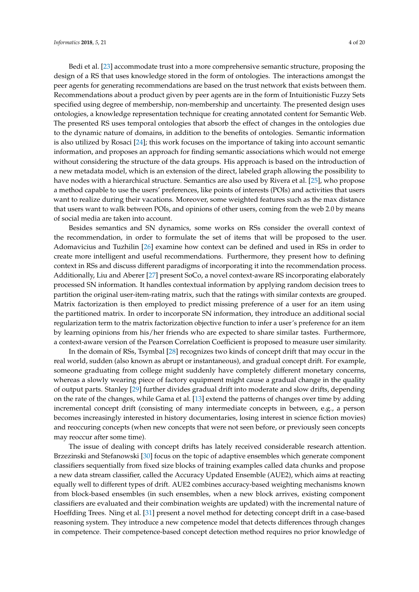Bedi et al. [\[23\]](#page-18-6) accommodate trust into a more comprehensive semantic structure, proposing the design of a RS that uses knowledge stored in the form of ontologies. The interactions amongst the peer agents for generating recommendations are based on the trust network that exists between them. Recommendations about a product given by peer agents are in the form of Intuitionistic Fuzzy Sets specified using degree of membership, non-membership and uncertainty. The presented design uses ontologies, a knowledge representation technique for creating annotated content for Semantic Web. The presented RS uses temporal ontologies that absorb the effect of changes in the ontologies due to the dynamic nature of domains, in addition to the benefits of ontologies. Semantic information is also utilized by Rosaci [\[24\]](#page-18-7); this work focuses on the importance of taking into account semantic information, and proposes an approach for finding semantic associations which would not emerge without considering the structure of the data groups. His approach is based on the introduction of a new metadata model, which is an extension of the direct, labeled graph allowing the possibility to have nodes with a hierarchical structure. Semantics are also used by Rivera et al. [\[25\]](#page-18-8), who propose a method capable to use the users' preferences, like points of interests (POIs) and activities that users want to realize during their vacations. Moreover, some weighted features such as the max distance that users want to walk between POIs, and opinions of other users, coming from the web 2.0 by means of social media are taken into account.

Besides semantics and SN dynamics, some works on RSs consider the overall context of the recommendation, in order to formulate the set of items that will be proposed to the user. Adomavicius and Tuzhilin [\[26\]](#page-18-9) examine how context can be defined and used in RSs in order to create more intelligent and useful recommendations. Furthermore, they present how to defining context in RSs and discuss different paradigms of incorporating it into the recommendation process. Additionally, Liu and Aberer [\[27\]](#page-18-10) present SoCo, a novel context-aware RS incorporating elaborately processed SN information. It handles contextual information by applying random decision trees to partition the original user-item-rating matrix, such that the ratings with similar contexts are grouped. Matrix factorization is then employed to predict missing preference of a user for an item using the partitioned matrix. In order to incorporate SN information, they introduce an additional social regularization term to the matrix factorization objective function to infer a user's preference for an item by learning opinions from his/her friends who are expected to share similar tastes. Furthermore, a context-aware version of the Pearson Correlation Coefficient is proposed to measure user similarity.

In the domain of RSs, Tsymbal [\[28\]](#page-18-11) recognizes two kinds of concept drift that may occur in the real world, sudden (also known as abrupt or instantaneous), and gradual concept drift. For example, someone graduating from college might suddenly have completely different monetary concerns, whereas a slowly wearing piece of factory equipment might cause a gradual change in the quality of output parts. Stanley [\[29\]](#page-18-12) further divides gradual drift into moderate and slow drifts, depending on the rate of the changes, while Gama et al. [\[13\]](#page-17-12) extend the patterns of changes over time by adding incremental concept drift (consisting of many intermediate concepts in between, e.g., a person becomes increasingly interested in history documentaries, losing interest in science fiction movies) and reoccuring concepts (when new concepts that were not seen before, or previously seen concepts may reoccur after some time).

The issue of dealing with concept drifts has lately received considerable research attention. Brzezinski and Stefanowski [\[30\]](#page-18-13) focus on the topic of adaptive ensembles which generate component classifiers sequentially from fixed size blocks of training examples called data chunks and propose a new data stream classifier, called the Accuracy Updated Ensemble (AUE2), which aims at reacting equally well to different types of drift. AUE2 combines accuracy-based weighting mechanisms known from block-based ensembles (in such ensembles, when a new block arrives, existing component classifiers are evaluated and their combination weights are updated) with the incremental nature of Hoeffding Trees. Ning et al. [\[31\]](#page-18-14) present a novel method for detecting concept drift in a case-based reasoning system. They introduce a new competence model that detects differences through changes in competence. Their competence-based concept detection method requires no prior knowledge of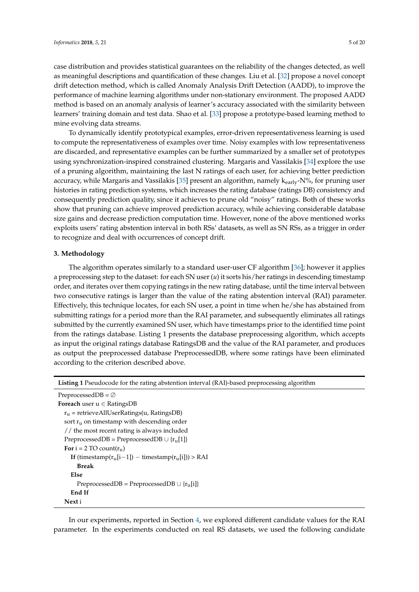case distribution and provides statistical guarantees on the reliability of the changes detected, as well as meaningful descriptions and quantification of these changes. Liu et al. [\[32\]](#page-18-15) propose a novel concept drift detection method, which is called Anomaly Analysis Drift Detection (AADD), to improve the performance of machine learning algorithms under non-stationary environment. The proposed AADD method is based on an anomaly analysis of learner's accuracy associated with the similarity between learners' training domain and test data. Shao et al. [\[33\]](#page-18-16) propose a prototype-based learning method to mine evolving data streams.

To dynamically identify prototypical examples, error-driven representativeness learning is used to compute the representativeness of examples over time. Noisy examples with low representativeness are discarded, and representative examples can be further summarized by a smaller set of prototypes using synchronization-inspired constrained clustering. Margaris and Vassilakis [\[34\]](#page-18-17) explore the use of a pruning algorithm, maintaining the last N ratings of each user, for achieving better prediction accuracy, while Margaris and Vassilakis [\[35\]](#page-18-18) present an algorithm, namely  $k_{\text{early}}-N\%$ , for pruning user histories in rating prediction systems, which increases the rating database (ratings DB) consistency and consequently prediction quality, since it achieves to prune old "noisy" ratings. Both of these works show that pruning can achieve improved prediction accuracy, while achieving considerable database size gains and decrease prediction computation time. However, none of the above mentioned works exploits users' rating abstention interval in both RSs' datasets, as well as SN RSs, as a trigger in order to recognize and deal with occurrences of concept drift.

# <span id="page-4-0"></span>**3. Methodology**

The algorithm operates similarly to a standard user-user CF algorithm [\[36\]](#page-18-19); however it applies a preprocessing step to the dataset: for each SN user (*u*) it sorts his/her ratings in descending timestamp order, and iterates over them copying ratings in the new rating database, until the time interval between two consecutive ratings is larger than the value of the rating abstention interval (RAI) parameter. Effectively, this technique locates, for each SN user, a point in time when he/she has abstained from submitting ratings for a period more than the RAI parameter, and subsequently eliminates all ratings submitted by the currently examined SN user, which have timestamps prior to the identified time point from the ratings database. Listing 1 presents the database preprocessing algorithm, which accepts as input the original ratings database RatingsDB and the value of the RAI parameter, and produces as output the preprocessed database PreprocessedDB, where some ratings have been eliminated according to the criterion described above.

**Listing 1** Pseudocode for the rating abstention interval (RAI)-based preprocessing algorithm

```
PreprocessedDB = ∅
Foreach user u ∈ RatingsDB
  r_{\rm u} = retrieveAllUserRatings(u, RatingsDB)
  sort r_u on timestamp with descending order
  // the most recent rating is always included
  PreprocessedDB = PreprocessedDB \cup {r<sub>u</sub>[1]}
  For i = 2 TO count(r_u)
    If (timestamp(r_u[i-1]) – timestamp(r_u[i])) > RAI
       Break
    Else
       PreprocessedDB = PreprocessedDB \cup {r_u[i]}
    End If
  Next i
```
In our experiments, reported in Section [4,](#page-6-0) we explored different candidate values for the RAI parameter. In the experiments conducted on real RS datasets, we used the following candidate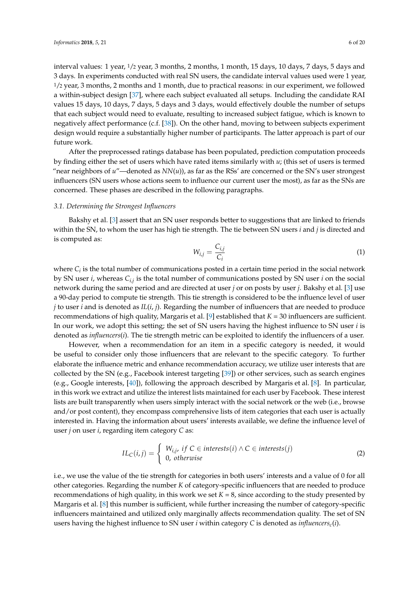interval values: 1 year, 1/2 year, 3 months, 2 months, 1 month, 15 days, 10 days, 7 days, 5 days and 3 days. In experiments conducted with real SN users, the candidate interval values used were 1 year, 1/2 year, 3 months, 2 months and 1 month, due to practical reasons: in our experiment, we followed a within-subject design [\[37\]](#page-18-20), where each subject evaluated all setups. Including the candidate RAI values 15 days, 10 days, 7 days, 5 days and 3 days, would effectively double the number of setups that each subject would need to evaluate, resulting to increased subject fatigue, which is known to negatively affect performance (c.f. [\[38\]](#page-18-21)). On the other hand, moving to between subjects experiment design would require a substantially higher number of participants. The latter approach is part of our future work.

After the preprocessed ratings database has been populated, prediction computation proceeds by finding either the set of users which have rated items similarly with *u*; (this set of users is termed "near neighbors of *u*"—denoted as *NN*(*u*)), as far as the RSs' are concerned or the SN's user strongest influencers (SN users whose actions seem to influence our current user the most), as far as the SNs are concerned. These phases are described in the following paragraphs.

#### *3.1. Determining the Strongest Influencers*

Bakshy et al. [\[3\]](#page-17-2) assert that an SN user responds better to suggestions that are linked to friends within the SN, to whom the user has high tie strength. The tie between SN users *i* and *j* is directed and is computed as:

$$
W_{i,j} = \frac{C_{i,j}}{C_i} \tag{1}
$$

where  $C_i$  is the total number of communications posted in a certain time period in the social network by SN user *i*, whereas *Ci,j* is the total number of communications posted by SN user *i* on the social network during the same period and are directed at user *j* or on posts by user *j*. Bakshy et al. [\[3\]](#page-17-2) use a 90-day period to compute tie strength. This tie strength is considered to be the influence level of user *j* to user *i* and is denoted as *IL*(*i*, *j*). Regarding the number of influencers that are needed to produce recommendations of high quality, Margaris et al. [\[9\]](#page-17-8) established that *K* = 30 influencers are sufficient. In our work, we adopt this setting; the set of SN users having the highest influence to SN user *i* is denoted as *influencers*(*i*). The tie strength metric can be exploited to identify the influencers of a user.

However, when a recommendation for an item in a specific category is needed, it would be useful to consider only those influencers that are relevant to the specific category. To further elaborate the influence metric and enhance recommendation accuracy, we utilize user interests that are collected by the SN (e.g., Facebook interest targeting [\[39\]](#page-19-0)) or other services, such as search engines (e.g., Google interests, [\[40\]](#page-19-1)), following the approach described by Margaris et al. [\[8\]](#page-17-7). In particular, in this work we extract and utilize the interest lists maintained for each user by Facebook. These interest lists are built transparently when users simply interact with the social network or the web (i.e., browse and/or post content), they encompass comprehensive lists of item categories that each user is actually interested in. Having the information about users' interests available, we define the influence level of user *j* on user *i*, regarding item category *C* as:

$$
IL_C(i,j) = \begin{cases} W_{i,j}, \text{ if } C \in \text{interests}(i) \land C \in \text{interests}(j) \\ 0, \text{ otherwise} \end{cases}
$$
 (2)

i.e., we use the value of the tie strength for categories in both users' interests and a value of 0 for all other categories. Regarding the number *K* of category-specific influencers that are needed to produce recommendations of high quality, in this work we set  $K = 8$ , since according to the study presented by Margaris et al. [\[8\]](#page-17-7) this number is sufficient, while further increasing the number of category-specific influencers maintained and utilized only marginally affects recommendation quality. The set of SN users having the highest influence to SN user *i* within category *C* is denoted as *influencersc*(*i*).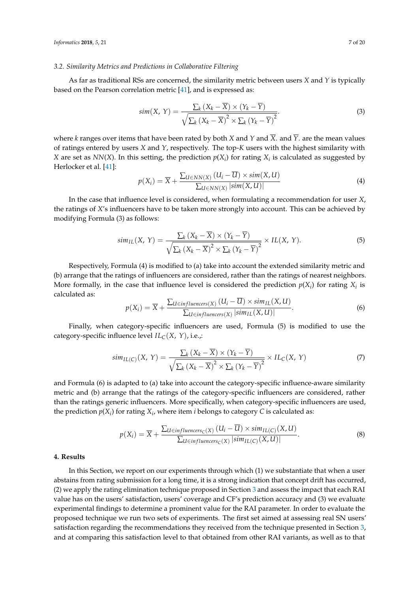#### *3.2. Similarity Metrics and Predictions in Collaborative Filtering*

As far as traditional RSs are concerned, the similarity metric between users *X* and *Y* is typically based on the Pearson correlation metric [\[41\]](#page-19-2), and is expressed as:

$$
sim(X, Y) = \frac{\sum_{k} (X_k - \overline{X}) \times (Y_k - \overline{Y})}{\sqrt{\sum_{k} (X_k - \overline{X})^2 \times \sum_{k} (Y_k - \overline{Y})^2}}.
$$
\n(3)

where *k* ranges over items that have been rated by both *X* and *Y* and  $\overline{X}$ . and  $\overline{Y}$ . are the mean values of ratings entered by users *X* and *Y*, respectively. The top-*K* users with the highest similarity with *X* are set as *NN*(*X*). In this setting, the prediction  $p(X_i)$  for rating  $X_i$  is calculated as suggested by Herlocker et al. [\[41\]](#page-19-2):

$$
p(X_i) = \overline{X} + \frac{\sum_{U \in NN(X)} (U_i - \overline{U}) \times sim(X, U)}{\sum_{U \in NN(X)} |sim(X, U)|}
$$
(4)

In the case that influence level is considered, when formulating a recommendation for user *X*, the ratings of *X*'s influencers have to be taken more strongly into account. This can be achieved by modifying Formula (3) as follows:

$$
sim_{IL}(X, Y) = \frac{\sum_{k} (X_k - \overline{X}) \times (Y_k - \overline{Y})}{\sqrt{\sum_{k} (X_k - \overline{X})^2 \times \sum_{k} (Y_k - \overline{Y})^2}} \times IL(X, Y).
$$
\n(5)

Respectively, Formula (4) is modified to (a) take into account the extended similarity metric and (b) arrange that the ratings of influencers are considered, rather than the ratings of nearest neighbors. More formally, in the case that influence level is considered the prediction  $p(X_i)$  for rating  $X_i$  is calculated as:

$$
p(X_i) = \overline{X} + \frac{\sum_{U \in influences(X)} (U_i - \overline{U}) \times sim_{IL}(X, U)}{\sum_{U \in influences(X)} |sim_{IL}(X, U)|}.
$$
 (6)

Finally, when category-specific influencers are used, Formula (5) is modified to use the category-specific influence level  $IL_C(X, Y)$ , i.e.,:

$$
sim_{IL(C)}(X, Y) = \frac{\sum_{k} (X_k - \overline{X}) \times (Y_k - \overline{Y})}{\sqrt{\sum_{k} (X_k - \overline{X})^2 \times \sum_{k} (Y_k - \overline{Y})^2}} \times IL_C(X, Y)
$$
\n(7)

and Formula (6) is adapted to (a) take into account the category-specific influence-aware similarity metric and (b) arrange that the ratings of the category-specific influencers are considered, rather than the ratings generic influencers. More specifically, when category-specific influencers are used, the prediction  $p(X_i)$  for rating  $X_i$ , where item *i* belongs to category *C* is calculated as:

$$
p(X_i) = \overline{X} + \frac{\sum_{U \in influences_C(X)} (U_i - \overline{U}) \times sim_{IL(C)}(X, U)}{\sum_{U \in influences_C(X)} |sim_{IL(C)}(X, U)|}.
$$
\n(8)

#### <span id="page-6-0"></span>**4. Results**

In this Section, we report on our experiments through which (1) we substantiate that when a user abstains from rating submission for a long time, it is a strong indication that concept drift has occurred, (2) we apply the rating elimination technique proposed in Section [3](#page-4-0) and assess the impact that each RAI value has on the users' satisfaction, users' coverage and CF's prediction accuracy and (3) we evaluate experimental findings to determine a prominent value for the RAI parameter. In order to evaluate the proposed technique we run two sets of experiments. The first set aimed at assessing real SN users' satisfaction regarding the recommendations they received from the technique presented in Section [3,](#page-4-0) and at comparing this satisfaction level to that obtained from other RAI variants, as well as to that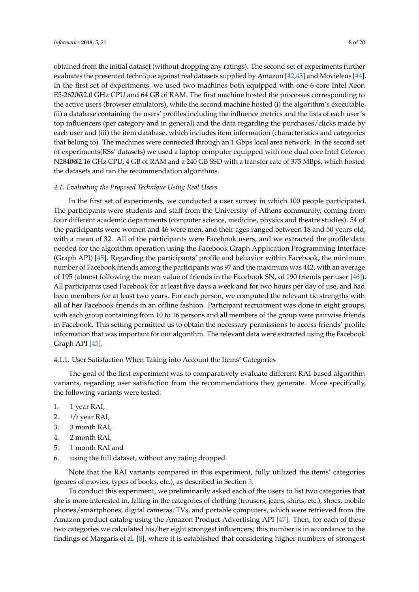obtained from the initial dataset (without dropping any ratings). The second set of experiments further evaluates the presented technique against real datasets supplied by Amazon [\[42,](#page-19-3)[43\]](#page-19-4) and Movielens [\[44\]](#page-19-5). In the first set of experiments, we used two machines both equipped with one 6-core Intel Xeon E5-2620@2.0 GHz CPU and 64 GB of RAM. The first machine hosted the processes corresponding to the active users (browser emulators), while the second machine hosted (i) the algorithm's executable, (ii) a database containing the users' profiles including the influence metrics and the lists of each user's top influencers (per category and in general) and the data regarding the purchases/clicks made by each user and (iii) the item database, which includes item information (characteristics and categories that belong to). The machines were connected through an 1 Gbps local area network. In the second set of experiments(RSs' datasets) we used a laptop computer equipped with one dual core Intel Celeron N2840@2.16 GHz CPU, 4 GB of RAM and a 240 GB SSD with a transfer rate of 375 MBps, which hosted the datasets and ran the recommendation algorithms.

## *4.1. Evaluating the Proposed Technique Using Real Users*

In the first set of experiments, we conducted a user survey in which 100 people participated. The participants were students and staff from the University of Athens community, coming from four different academic departments (computer science, medicine, physics and theatre studies). 54 of the participants were women and 46 were men, and their ages ranged between 18 and 50 years old, with a mean of 32. All of the participants were Facebook users, and we extracted the profile data needed for the algorithm operation using the Facebook Graph Application Programming Interface (Graph API) [\[45\]](#page-19-6). Regarding the participants' profile and behavior within Facebook, the minimum number of Facebook friends among the participants was 97 and the maximum was 442, with an average of 195 (almost following the mean value of friends in the Facebook SN, of 190 friends per user [\[46\]](#page-19-7)). All participants used Facebook for at least five days a week and for two hours per day of use, and had been members for at least two years. For each person, we computed the relevant tie strengths with all of her Facebook friends in an offline fashion. Participant recruitment was done in eight groups, with each group containing from 10 to 16 persons and all members of the group were pairwise friends in Facebook. This setting permitted us to obtain the necessary permissions to access friends' profile information that was important for our algorithm. The relevant data were extracted using the Facebook Graph API [\[45\]](#page-19-6).

# 4.1.1. User Satisfaction When Taking into Account the Items' Categories

The goal of the first experiment was to comparatively evaluate different RAI-based algorithm variants, regarding user satisfaction from the recommendations they generate. More specifically, the following variants were tested:

- 1. 1 year RAI,
- 2.  $1/2$  year RAI,
- 3. 3 month RAI,
- 4. 2 month RAI,
- 5. 1 month RAI and
- 6. using the full dataset, without any rating dropped.

Note that the RAI variants compared in this experiment, fully utilized the items' categories (genres of movies, types of books, etc.), as described in Section [3.](#page-4-0)

To conduct this experiment, we preliminarily asked each of the users to list two categories that she is more interested in, falling in the categories of clothing (trousers, jeans, shirts, etc.), shoes, mobile phones/smartphones, digital cameras, TVs, and portable computers, which were retrieved from the Amazon product catalog using the Amazon Product Advertising API [\[47\]](#page-19-8). Then, for each of these two categories we calculated his/her eight strongest influencers; this number is in accordance to the findings of Margaris et al. [\[8\]](#page-17-7), where it is established that considering higher numbers of strongest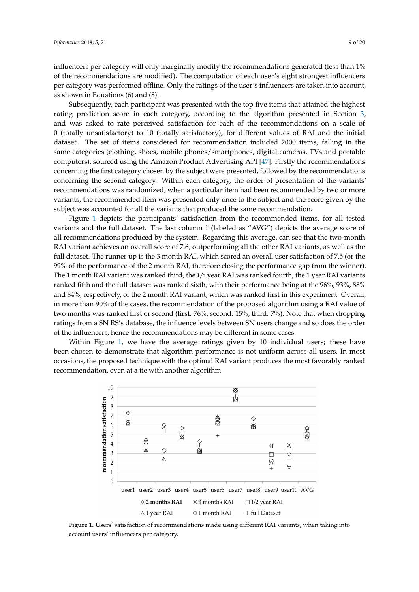influencers per category will only marginally modify the recommendations generated (less than 1% of the recommendations are modified). The computation of each user's eight strongest influencers per category was performed offline. Only the ratings of the user's influencers are taken into account, as shown in Equations (6) and (8).

Subsequently, each participant was presented with the top five items that attained the highest rating prediction score in each category, according to the algorithm presented in Section [3,](#page-4-0) and was asked to rate perceived satisfaction for each of the recommendations on a scale of 0 (totally unsatisfactory) to 10 (totally satisfactory), for different values of RAI and the initial dataset. The set of items considered for recommendation included 2000 items, falling in the same categories (clothing, shoes, mobile phones/smartphones, digital cameras, TVs and portable computers), sourced using the Amazon Product Advertising API [\[47\]](#page-19-8). Firstly the recommendations concerning the first category chosen by the subject were presented, followed by the recommendations concerning the second category. Within each category, the order of presentation of the variants' recommendations was randomized; when a particular item had been recommended by two or more variants, the recommended item was presented only once to the subject and the score given by the subject was accounted for all the variants that produced the same recommendation.

Figure [1](#page-8-0) depicts the participants' satisfaction from the recommended items, for all tested variants and the full dataset. The last column 1 (labeled as "AVG") depicts the average score of all recommendations produced by the system. Regarding this average, can see that the two-month RAI variant achieves an overall score of 7.6, outperforming all the other RAI variants, as well as the full dataset. The runner up is the 3 month RAI, which scored an overall user satisfaction of 7.5 (or the 99% of the performance of the 2 month RAI, therefore closing the performance gap from the winner). The 1 month RAI variant was ranked third, the 1/2 year RAI was ranked fourth, the 1 year RAI variants ranked fifth and the full dataset was ranked sixth, with their performance being at the 96%, 93%, 88% and 84%, respectively, of the 2 month RAI variant, which was ranked first in this experiment. Overall, in more than 90% of the cases, the recommendation of the proposed algorithm using a RAI value of two months was ranked first or second (first: 76%, second: 15%; third: 7%). Note that when dropping ratings from a SN RS's database, the influence levels between SN users change and so does the order of the influencers; hence the recommendations may be different in some cases.

<span id="page-8-0"></span>Within Figure [1,](#page-8-0) we have the average ratings given by 10 individual users; these have been chosen to demonstrate that algorithm performance is not uniform across all users. In most occasions, the proposed technique with the optimal RAI variant produces the most favorably ranked recommendation, even at a tie with another algorithm.



**Figure 1.** Users' satisfaction of recommendations made using different RAI variants, when taking into account users' influencers per category.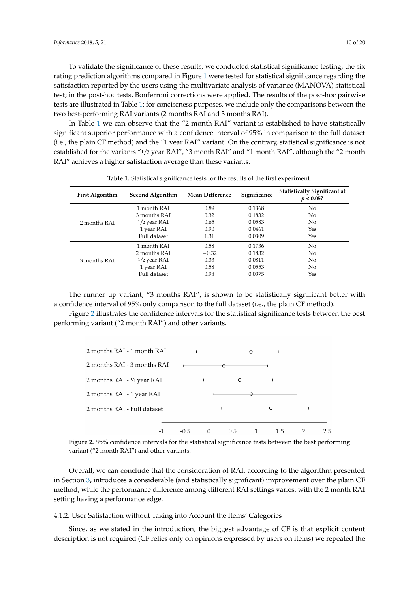To validate the significance of these results, we conducted statistical significance testing; the six rating prediction algorithms compared in Figure [1](#page-8-0) were tested for statistical significance regarding the satisfaction reported by the users using the multivariate analysis of variance (MANOVA) statistical test; in the post-hoc tests, Bonferroni corrections were applied. The results of the post-hoc pairwise tests are illustrated in Table [1;](#page-9-0) for conciseness purposes, we include only the comparisons between the two best-performing RAI variants (2 months RAI and 3 months RAI).

In Table [1](#page-9-0) we can observe that the "2 month RAI" variant is established to have statistically significant superior performance with a confidence interval of 95% in comparison to the full dataset (i.e., the plain CF method) and the "1 year RAI" variant. On the contrary, statistical significance is not established for the variants "1/2 year RAI", "3 month RAI" and "1 month RAI", although the "2 month RAI" achieves a higher satisfaction average than these variants.

<span id="page-9-0"></span>

| <b>First Algorithm</b> | Second Algorithm | <b>Mean Difference</b> | Significance | <b>Statistically Significant at</b><br>p < 0.05? |
|------------------------|------------------|------------------------|--------------|--------------------------------------------------|
|                        | 1 month RAI      | 0.89                   | 0.1368       | No.                                              |
|                        | 3 months RAI     | 0.32                   | 0.1832       | No.                                              |
| 2 months RAI           | $1/2$ year RAI   | 0.65                   | 0.0583       | No.                                              |
|                        | 1 year RAI       | 0.90                   | 0.0461       | Yes                                              |
|                        | Full dataset     | 1.31                   | 0.0309       | Yes                                              |
|                        | 1 month RAI      | 0.58                   | 0.1736       | No.                                              |
| 3 months RAI           | 2 months RAI     | $-0.32$                | 0.1832       | No.                                              |
|                        | $1/2$ year RAI   | 0.33                   | 0.0811       | No.                                              |
|                        | 1 year RAI       | 0.58                   | 0.0553       | No.                                              |
|                        | Full dataset     | 0.98                   | 0.0375       | Yes                                              |

**Table 1.** Statistical significance tests for the results of the first experiment.

The runner up variant, "3 months RAI", is shown to be statistically significant better with a confidence interval of 95% only comparison to the full dataset (i.e., the plain CF method).

<span id="page-9-1"></span>Figure [2](#page-9-1) illustrates the confidence intervals for the statistical significance tests between the best performing variant ("2 month RAI") and other variants.



**Figure 2.** 95% confidence intervals for the statistical significance tests between the best performing variant ("2 month RAI") and other variants.

Overall, we can conclude that the consideration of RAI, according to the algorithm presented in Section [3,](#page-4-0) introduces a considerable (and statistically significant) improvement over the plain CF method, while the performance difference among different RAI settings varies, with the 2 month RAI setting having a performance edge.

4.1.2. User Satisfaction without Taking into Account the Items' Categories

Since, as we stated in the introduction, the biggest advantage of CF is that explicit content description is not required (CF relies only on opinions expressed by users on items) we repeated the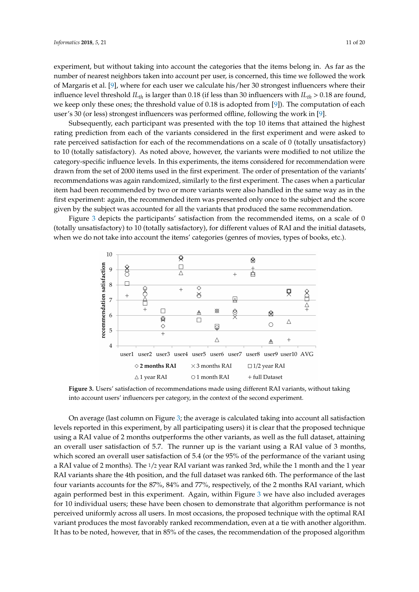experiment, but without taking into account the categories that the items belong in. As far as the number of nearest neighbors taken into account per user, is concerned, this time we followed the work of Margaris et al. [\[9\]](#page-17-8), where for each user we calculate his/her 30 strongest influencers where their influence level threshold  $IL_{th}$  is larger than 0.18 (if less than 30 influencers with  $IL_{th}$  > 0.18 are found, we keep only these ones; the threshold value of 0.18 is adopted from [\[9\]](#page-17-8)). The computation of each user's 30 (or less) strongest influencers was performed offline, following the work in [\[9\]](#page-17-8).

Subsequently, each participant was presented with the top 10 items that attained the highest rating prediction from each of the variants considered in the first experiment and were asked to rate perceived satisfaction for each of the recommendations on a scale of 0 (totally unsatisfactory) to 10 (totally satisfactory). As noted above, however, the variants were modified to not utilize the category-specific influence levels. In this experiments, the items considered for recommendation were drawn from the set of 2000 items used in the first experiment. The order of presentation of the variants' recommendations was again randomized, similarly to the first experiment. The cases when a particular item had been recommended by two or more variants were also handled in the same way as in the first experiment: again, the recommended item was presented only once to the subject and the score given by the subject was accounted for all the variants that produced the same recommendation.

<span id="page-10-0"></span>Figure [3](#page-10-0) depicts the participants' satisfaction from the recommended items, on a scale of 0 (totally unsatisfactory) to 10 (totally satisfactory), for different values of RAI and the initial datasets, when we do not take into account the items' categories (genres of movies, types of books, etc.).



**Figure 3.** Users' satisfaction of recommendations made using different RAI variants, without taking into account users' influencers per category, in the context of the second experiment.

On average (last column on Figure [3;](#page-10-0) the average is calculated taking into account all satisfaction levels reported in this experiment, by all participating users) it is clear that the proposed technique using a RAI value of 2 months outperforms the other variants, as well as the full dataset, attaining an overall user satisfaction of 5.7. The runner up is the variant using a RAI value of 3 months, which scored an overall user satisfaction of 5.4 (or the 95% of the performance of the variant using a RAI value of 2 months). The 1/2 year RAI variant was ranked 3rd, while the 1 month and the 1 year RAI variants share the 4th position, and the full dataset was ranked 6th. The performance of the last four variants accounts for the 87%, 84% and 77%, respectively, of the 2 months RAI variant, which again performed best in this experiment. Again, within Figure [3](#page-10-0) we have also included averages for 10 individual users; these have been chosen to demonstrate that algorithm performance is not perceived uniformly across all users. In most occasions, the proposed technique with the optimal RAI variant produces the most favorably ranked recommendation, even at a tie with another algorithm. It has to be noted, however, that in 85% of the cases, the recommendation of the proposed algorithm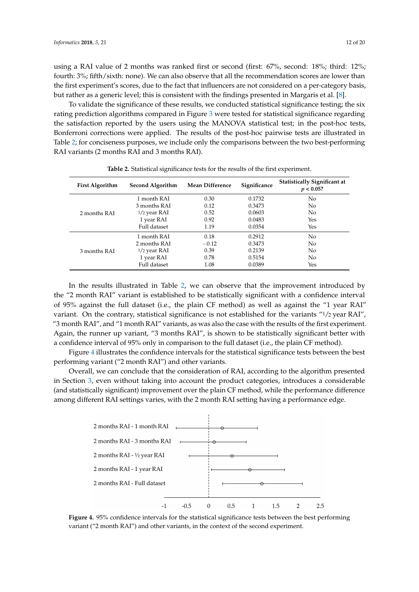using a RAI value of 2 months was ranked first or second (first: 67%, second: 18%; third: 12%; fourth: 3%; fifth/sixth: none). We can also observe that all the recommendation scores are lower than the first experiment's scores, due to the fact that influencers are not considered on a per-category basis, but rather as a generic level; this is consistent with the findings presented in Margaris et al. [\[8\]](#page-17-7).

To validate the significance of these results, we conducted statistical significance testing; the six rating prediction algorithms compared in Figure [3](#page-10-0) were tested for statistical significance regarding the satisfaction reported by the users using the MANOVA statistical test; in the post-hoc tests, Bonferroni corrections were applied. The results of the post-hoc pairwise tests are illustrated in Table [2;](#page-11-0) for conciseness purposes, we include only the comparisons between the two best-performing RAI variants (2 months RAI and 3 months RAI).

<span id="page-11-0"></span>

| <b>First Algorithm</b> | Second Algorithm | <b>Mean Difference</b> | Significance | <b>Statistically Significant at</b><br>p < 0.05? |
|------------------------|------------------|------------------------|--------------|--------------------------------------------------|
|                        | 1 month RAI      | 0.30                   | 0.1732       | N <sub>o</sub>                                   |
|                        | 3 months RAI     | 0.12                   | 0.3473       | No                                               |
| 2 months RAI           | $1/2$ year RAI   | 0.52                   | 0.0603       | N <sub>o</sub>                                   |
|                        | 1 year RAI       | 0.92                   | 0.0483       | Yes                                              |
|                        | Full dataset     | 1.19                   | 0.0354       | Yes                                              |
|                        | 1 month RAI      | 0.18                   | 0.2912       | N <sub>o</sub>                                   |
|                        | 2 months RAI     | $-0.12$                | 0.3473       | No                                               |
| 3 months RAI           | $1/2$ year RAI   | 0.39                   | 0.2139       | N <sub>o</sub>                                   |
|                        | 1 year RAI       | 0.78                   | 0.5154       | N <sub>0</sub>                                   |
|                        | Full dataset     | 1.08                   | 0.0389       | Yes                                              |

**Table 2.** Statistical significance tests for the results of the first experiment.

In the results illustrated in Table [2,](#page-11-0) we can observe that the improvement introduced by the "2 month RAI" variant is established to be statistically significant with a confidence interval of 95% against the full dataset (i.e., the plain CF method) as well as against the "1 year RAI" variant. On the contrary, statistical significance is not established for the variants "1/2 year RAI", "3 month RAI", and "1 month RAI" variants, as was also the case with the results of the first experiment. Again, the runner up variant, "3 months RAI", is shown to be statistically significant better with a confidence interval of 95% only in comparison to the full dataset (i.e., the plain CF method).

Figure [4](#page-11-1) illustrates the confidence intervals for the statistical significance tests between the best performing variant ("2 month RAI") and other variants.

Overall, we can conclude that the consideration of RAI, according to the algorithm presented in Section [3,](#page-4-0) even without taking into account the product categories, introduces a considerable (and statistically significant) improvement over the plain CF method, while the performance difference among different RAI settings varies, with the 2 month RAI setting having a performance edge.

<span id="page-11-1"></span>

**Figure 4.** 95% confidence intervals for the statistical significance tests between the best performing variant ("2 month RAI") and other variants, in the context of the second experiment.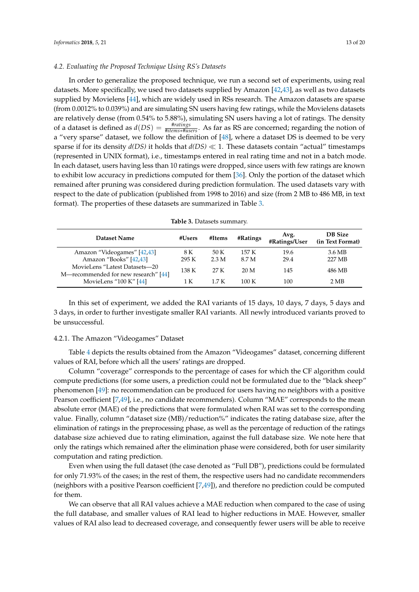# *4.2. Evaluating the Proposed Technique Using RS's Datasets*

In order to generalize the proposed technique, we run a second set of experiments, using real datasets. More specifically, we used two datasets supplied by Amazon [\[42](#page-19-3)[,43\]](#page-19-4), as well as two datasets supplied by Movielens [\[44\]](#page-19-5), which are widely used in RSs research. The Amazon datasets are sparse (from 0.0012% to 0.039%) and are simulating SN users having few ratings, while the Movielens datasets are relatively dense (from 0.54% to 5.88%), simulating SN users having a lot of ratings. The density of a dataset is defined as  $d(DS) = \frac{44 \pi \sigma}{44 \pi \sigma}$ . As far as RS are concerned; regarding the notion of a "very sparse" dataset, we follow the definition of [\[48\]](#page-19-9), where a dataset DS is deemed to be very sparse if for its density  $d(DS)$  it holds that  $d(DS) \ll 1$ . These datasets contain "actual" timestamps (represented in UNIX format), i.e., timestamps entered in real rating time and not in a batch mode. In each dataset, users having less than 10 ratings were dropped, since users with few ratings are known to exhibit low accuracy in predictions computed for them [\[36\]](#page-18-19). Only the portion of the dataset which remained after pruning was considered during prediction formulation. The used datasets vary with respect to the date of publication (published from 1998 to 2016) and size (from 2 MB to 486 MB, in text format). The properties of these datasets are summarized in Table [3.](#page-12-0)

<span id="page-12-0"></span>

| Dataset Name                                                          | #Users       | #Items        | <b>#Ratings</b> | Avg.<br>#Ratings/User | DB Size<br>(in Text Format) |  |  |  |
|-----------------------------------------------------------------------|--------------|---------------|-----------------|-----------------------|-----------------------------|--|--|--|
| Amazon "Videogames" [42,43]<br>Amazon "Books" [42,43]                 | 8 K<br>295 K | 50 K<br>2.3 M | 157 K<br>8.7 M  | 19.6<br>29.4          | 3.6 MB<br>227 MB            |  |  |  |
| MovieLens "Latest Datasets—20<br>M—recommended for new research" [44] | 138 K        | 27 K          | 20 M            | 145                   | 486 MB                      |  |  |  |
| MovieLens " $100 K$ " [44]                                            | 1 K          | 1.7K          | 100 K           | 100                   | 2 MB                        |  |  |  |

In this set of experiment, we added the RAI variants of 15 days, 10 days, 7 days, 5 days and 3 days, in order to further investigate smaller RAI variants. All newly introduced variants proved to be unsuccessful.

#### 4.2.1. The Amazon "Videogames" Dataset

Table [4](#page-13-0) depicts the results obtained from the Amazon "Videogames" dataset, concerning different values of RAI, before which all the users' ratings are dropped.

Column "coverage" corresponds to the percentage of cases for which the CF algorithm could compute predictions (for some users, a prediction could not be formulated due to the "black sheep" phenomenon [\[49\]](#page-19-10): no recommendation can be produced for users having no neighbors with a positive Pearson coefficient [\[7,](#page-17-5)[49\]](#page-19-10), i.e., no candidate recommenders). Column "MAE" corresponds to the mean absolute error (MAE) of the predictions that were formulated when RAI was set to the corresponding value. Finally, column "dataset size (MB)/reduction%" indicates the rating database size, after the elimination of ratings in the preprocessing phase, as well as the percentage of reduction of the ratings database size achieved due to rating elimination, against the full database size. We note here that only the ratings which remained after the elimination phase were considered, both for user similarity computation and rating prediction.

Even when using the full dataset (the case denoted as "Full DB"), predictions could be formulated for only 71.93% of the cases; in the rest of them, the respective users had no candidate recommenders (neighbors with a positive Pearson coefficient [\[7](#page-17-5)[,49\]](#page-19-10)), and therefore no prediction could be computed for them.

We can observe that all RAI values achieve a MAE reduction when compared to the case of using the full database, and smaller values of RAI lead to higher reductions in MAE. However, smaller values of RAI also lead to decreased coverage, and consequently fewer users will be able to receive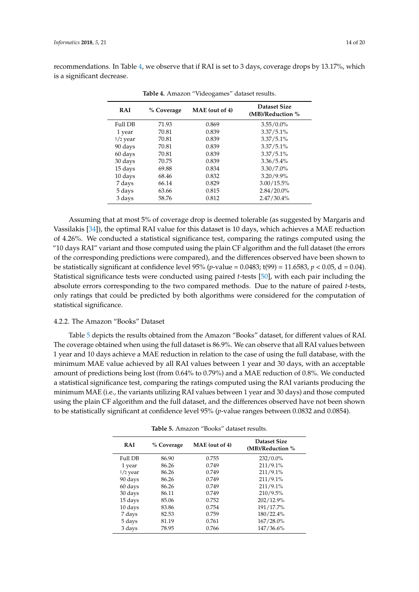| Table 4. Amazon "Videogames" dataset results. |            |                |                                  |  |  |  |
|-----------------------------------------------|------------|----------------|----------------------------------|--|--|--|
| <b>RAI</b>                                    | % Coverage | MAE (out of 4) | Dataset Size<br>(MB)/Reduction % |  |  |  |
| Full DB                                       | 71.93      | 0.869          | $3.55/0.0\%$                     |  |  |  |
| 1 year                                        | 70.81      | 0.839          | 3.37/5.1%                        |  |  |  |
| $1/2$ year                                    | 70.81      | 0.839          | 3.37/5.1%                        |  |  |  |
| 90 days                                       | 70.81      | 0.839          | $3.37/5.1\%$                     |  |  |  |
| 60 days                                       | 70.81      | 0.839          | $3.37/5.1\%$                     |  |  |  |
| 30 days                                       | 70.75      | 0.839          | $3.36/5.4\%$                     |  |  |  |
| 15 days                                       | 69.88      | 0.834          | $3.30 / 7.0\%$                   |  |  |  |
| 10 days                                       | 68.46      | 0.832          | 3.20/9.9%                        |  |  |  |
| 7 days                                        | 66.14      | 0.829          | 3.00/15.5%                       |  |  |  |
| 5 days                                        | 63.66      | 0.815          | 2.84/20.0%                       |  |  |  |
| 3 days                                        | 58.76      | 0.812          | 2.47/30.4%                       |  |  |  |

<span id="page-13-0"></span>recommendations. In Table [4,](#page-13-0) we observe that if RAI is set to 3 days, coverage drops by 13.17%, which is a significant decrease.

Assuming that at most 5% of coverage drop is deemed tolerable (as suggested by Margaris and Vassilakis [\[34\]](#page-18-17)), the optimal RAI value for this dataset is 10 days, which achieves a MAE reduction of 4.26%. We conducted a statistical significance test, comparing the ratings computed using the "10 days RAI" variant and those computed using the plain CF algorithm and the full dataset (the errors of the corresponding predictions were compared), and the differences observed have been shown to be statistically significant at confidence level  $95\%$  (*p*-value = 0.0483; t(99) = 11.6583, *p* < 0.05, d = 0.04). Statistical significance tests were conducted using paired *t*-tests [\[50\]](#page-19-11), with each pair including the absolute errors corresponding to the two compared methods. Due to the nature of paired *t*-tests, only ratings that could be predicted by both algorithms were considered for the computation of statistical significance.

# 4.2.2. The Amazon "Books" Dataset

Table [5](#page-13-1) depicts the results obtained from the Amazon "Books" dataset, for different values of RAI. The coverage obtained when using the full dataset is 86.9%. We can observe that all RAI values between 1 year and 10 days achieve a MAE reduction in relation to the case of using the full database, with the minimum MAE value achieved by all RAI values between 1 year and 30 days, with an acceptable amount of predictions being lost (from 0.64% to 0.79%) and a MAE reduction of 0.8%. We conducted a statistical significance test, comparing the ratings computed using the RAI variants producing the minimum MAE (i.e., the variants utilizing RAI values between 1 year and 30 days) and those computed using the plain CF algorithm and the full dataset, and the differences observed have not been shown to be statistically significant at confidence level 95% (*p*-value ranges between 0.0832 and 0.0854).

<span id="page-13-1"></span>

| <b>RAI</b> | % Coverage | MAE (out of 4) | Dataset Size<br>(MB)/Reduction % |
|------------|------------|----------------|----------------------------------|
| Full DB    | 86.90      | 0.755          | 232/0.0%                         |
| 1 year     | 86.26      | 0.749          | 211/9.1%                         |
| $1/2$ year | 86.26      | 0.749          | 211/9.1%                         |
| 90 days    | 86.26      | 0.749          | 211/9.1%                         |
| 60 days    | 86.26      | 0.749          | 211/9.1%                         |
| 30 days    | 86.11      | 0.749          | 210/9.5%                         |
| 15 days    | 85.06      | 0.752          | 202/12.9%                        |
| 10 days    | 83.86      | 0.754          | 191/17.7%                        |
| 7 days     | 82.53      | 0.759          | 180/22.4%                        |
| 5 days     | 81.19      | 0.761          | 167/28.0%                        |
| 3 days     | 78.95      | 0.766          | 147/36.6%                        |
|            |            |                |                                  |

| Table 5. Amazon "Books" dataset results. |  |  |  |
|------------------------------------------|--|--|--|
|------------------------------------------|--|--|--|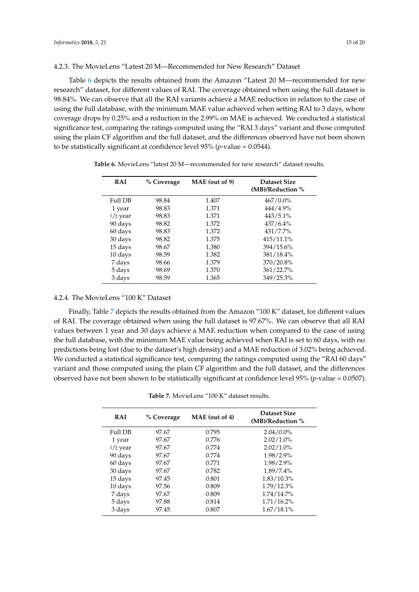## 4.2.3. The MovieLens "Latest 20 M—Recommended for New Research" Dataset

Table [6](#page-14-0) depicts the results obtained from the Amazon "Latest 20 M—recommended for new research" dataset, for different values of RAI. The coverage obtained when using the full dataset is 98.84%. We can observe that all the RAI variants achieve a MAE reduction in relation to the case of using the full database, with the minimum MAE value achieved when setting RAI to 3 days, where coverage drops by 0.25% and a reduction in the 2.99% on MAE is achieved. We conducted a statistical significance test, comparing the ratings computed using the "RAI 3 days" variant and those computed using the plain CF algorithm and the full dataset, and the differences observed have not been shown to be statistically significant at confidence level 95% (*p*-value = 0.0544).

| <b>RAI</b> | % Coverage | MAE (out of 9) | Dataset Size<br>(MB)/Reduction % |
|------------|------------|----------------|----------------------------------|
| Full DB    | 98.84      | 1.407          | $467/0.0\%$                      |
| 1 year     | 98.83      | 1.371          | 444/4.9%                         |
| $1/2$ year | 98.83      | 1.371          | 443/5.1%                         |
| 90 days    | 98.82      | 1.372          | $437/6.4\%$                      |
| 60 days    | 98.83      | 1.372          | 431/7.7%                         |
| 30 days    | 98.82      | 1.375          | 415/11.1%                        |
| 15 days    | 98.67      | 1.380          | 394/15.6%                        |
| 10 days    | 98.59      | 1.382          | 381/18.4%                        |
| 7 days     | 98.66      | 1.379          | 370/20.8%                        |
| 5 days     | 98.69      | 1.370          | 361/22.7%                        |
| 3 days     | 98.59      | 1.365          | 349/25.3%                        |

<span id="page-14-0"></span>**Table 6.** MovieLens "latest 20 M—recommended for new research" dataset results.

# 4.2.4. The MovieLens "100 K" Dataset

Finally, Table [7](#page-14-1) depicts the results obtained from the Amazon "100 K" dataset, for different values of RAI. The coverage obtained when using the full dataset is 97.67%. We can observe that all RAI values between 1 year and 30 days achieve a MAE reduction when compared to the case of using the full database, with the minimum MAE value being achieved when RAI is set to 60 days, with no predictions being lost (due to the dataset's high density) and a MAE reduction of 3.02% being achieved. We conducted a statistical significance test, comparing the ratings computed using the "RAI 60 days" variant and those computed using the plain CF algorithm and the full dataset, and the differences observed have not been shown to be statistically significant at confidence level 95% (*p*-value = 0.0507).

**Table 7.** MovieLens "100 K" dataset results.

<span id="page-14-1"></span>

| <b>RAI</b> | % Coverage | MAE (out of 4) | Dataset Size<br>(MB)/Reduction % |
|------------|------------|----------------|----------------------------------|
| Full DB    | 97.67      | 0.795          | $2.04/0.0\%$                     |
| 1 year     | 97.67      | 0.776          | $2.02/1.0\%$                     |
| $1/2$ year | 97.67      | 0.774          | $2.02/1.0\%$                     |
| 90 days    | 97.67      | 0.774          | 1.98/2.9%                        |
| 60 days    | 97.67      | 0.771          | 1.98/2.9%                        |
| 30 days    | 97.67      | 0.782          | 1.89/7.4%                        |
| 15 days    | 97.45      | 0.801          | 1.83/10.3%                       |
| 10 days    | 97.56      | 0.809          | 1.79/12.3%                       |
| 7 days     | 97.67      | 0.809          | 1.74/14.7%                       |
| 5 days     | 97.88      | 0.814          | $1.71/16.2\%$                    |
| 3 days     | 97.45      | 0.807          | 1.67/18.1%                       |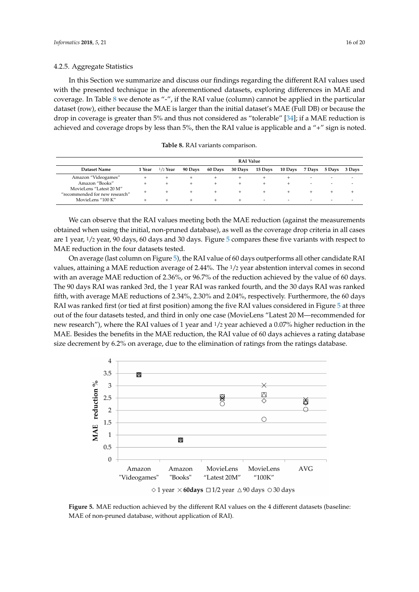In this Section we summarize and discuss our findings regarding the different RAI values used with the presented technique in the aforementioned datasets, exploring differences in MAE and coverage. In Table [8](#page-15-0) we denote as "-", if the RAI value (column) cannot be applied in the particular dataset (row), either because the MAE is larger than the initial dataset's MAE (Full DB) or because the drop in coverage is greater than 5% and thus not considered as "tolerable" [\[34\]](#page-18-17); if a MAE reduction is achieved and coverage drops by less than 5%, then the RAI value is applicable and a "+" sign is noted.

<span id="page-15-0"></span>

|                                                           |        | <b>RAI</b> Value |         |                |         |                |                          |                          |                          |                          |
|-----------------------------------------------------------|--------|------------------|---------|----------------|---------|----------------|--------------------------|--------------------------|--------------------------|--------------------------|
| Dataset Name                                              | 1 Year | $1/2$ Year       | 90 Days | <b>60 Days</b> | 30 Days | 15 Days        | <b>10 Days</b>           | 7 Davs                   | 5 Davs                   | 3 Days                   |
| Amazon "Videogames"                                       |        |                  |         |                |         |                |                          |                          |                          |                          |
| Amazon "Books"                                            |        | $+$              | $^+$    | $+$            | $^+$    | $\pm$          | $+$                      | $\overline{\phantom{0}}$ |                          | $\overline{\phantom{0}}$ |
| MovieLens "Latest 20 M"<br>"recommended for new research" |        | $+$              | $^+$    | $^+$           |         | ÷              | $+$                      |                          |                          |                          |
| MovieLens "100 K"                                         |        | $^+$             | $+$     | $+$            | $^+$    | $\overline{a}$ | $\overline{\phantom{0}}$ | $\overline{\phantom{0}}$ | $\overline{\phantom{0}}$ |                          |

**Table 8.** RAI variants comparison.

We can observe that the RAI values meeting both the MAE reduction (against the measurements obtained when using the initial, non-pruned database), as well as the coverage drop criteria in all cases are 1 year, 1/2 year, 90 days, 60 days and 30 days. Figure [5](#page-15-1) compares these five variants with respect to MAE reduction in the four datasets tested.

On average (last column on Figure [5\)](#page-15-1), the RAI value of 60 days outperforms all other candidate RAI values, attaining a MAE reduction average of 2.44%. The 1/2 year abstention interval comes in second with an average MAE reduction of 2.36%, or 96.7% of the reduction achieved by the value of 60 days. The 90 days RAI was ranked 3rd, the 1 year RAI was ranked fourth, and the 30 days RAI was ranked fifth, with average MAE reductions of 2.34%, 2.30% and 2.04%, respectively. Furthermore, the 60 days RAI was ranked first (or tied at first position) among the five RAI values considered in Figure [5](#page-15-1) at three out of the four datasets tested, and third in only one case (MovieLens "Latest 20 M—recommended for new research"), where the RAI values of 1 year and 1/2 year achieved a 0.07% higher reduction in the MAE. Besides the benefits in the MAE reduction, the RAI value of 60 days achieves a rating database size decrement by 6.2% on average, due to the elimination of ratings from the ratings database.

<span id="page-15-1"></span>

**Figure 5.** MAE reduction achieved by the different RAI values on the 4 different datasets (baseline: MAE of non-pruned database, without application of RAI).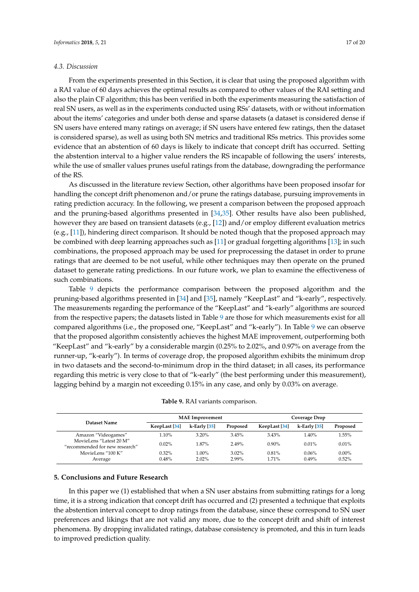## *4.3. Discussion*

From the experiments presented in this Section, it is clear that using the proposed algorithm with a RAI value of 60 days achieves the optimal results as compared to other values of the RAI setting and also the plain CF algorithm; this has been verified in both the experiments measuring the satisfaction of real SN users, as well as in the experiments conducted using RSs' datasets, with or without information about the items' categories and under both dense and sparse datasets (a dataset is considered dense if SN users have entered many ratings on average; if SN users have entered few ratings, then the dataset is considered sparse), as well as using both SN metrics and traditional RSs metrics. This provides some evidence that an abstention of 60 days is likely to indicate that concept drift has occurred. Setting the abstention interval to a higher value renders the RS incapable of following the users' interests, while the use of smaller values prunes useful ratings from the database, downgrading the performance of the RS.

As discussed in the literature review Section, other algorithms have been proposed insofar for handling the concept drift phenomenon and/or prune the ratings database, pursuing improvements in rating prediction accuracy. In the following, we present a comparison between the proposed approach and the pruning-based algorithms presented in [\[34](#page-18-17)[,35\]](#page-18-18). Other results have also been published, however they are based on transient datasets (e.g., [\[12\]](#page-17-11)) and/or employ different evaluation metrics (e.g., [\[11\]](#page-17-10)), hindering direct comparison. It should be noted though that the proposed approach may be combined with deep learning approaches such as [\[11\]](#page-17-10) or gradual forgetting algorithms [\[13\]](#page-17-12); in such combinations, the proposed approach may be used for preprocessing the dataset in order to prune ratings that are deemed to be not useful, while other techniques may then operate on the pruned dataset to generate rating predictions. In our future work, we plan to examine the effectiveness of such combinations.

Table [9](#page-16-1) depicts the performance comparison between the proposed algorithm and the pruning-based algorithms presented in [\[34\]](#page-18-17) and [\[35\]](#page-18-18), namely "KeepLast" and "k-early", respectively. The measurements regarding the performance of the "KeepLast" and "k-early" algorithms are sourced from the respective papers; the datasets listed in Table [9](#page-16-1) are those for which measurements exist for all compared algorithms (i.e., the proposed one, "KeepLast" and "k-early"). In Table [9](#page-16-1) we can observe that the proposed algorithm consistently achieves the highest MAE improvement, outperforming both "KeepLast" and "k-early" by a considerable margin (0.25% to 2.02%, and 0.97% on average from the runner-up, "k-early"). In terms of coverage drop, the proposed algorithm exhibits the minimum drop in two datasets and the second-to-minimum drop in the third dataset; in all cases, its performance regarding this metric is very close to that of "k-early" (the best performing under this measurement), lagging behind by a margin not exceeding 0.15% in any case, and only by 0.03% on average.

<span id="page-16-1"></span>

|                                                           | <b>MAE</b> Improvement |                      |                      | Coverage Drop  |                 |                   |  |
|-----------------------------------------------------------|------------------------|----------------------|----------------------|----------------|-----------------|-------------------|--|
| Dataset Name                                              | KeepLast [34]          | $k$ -Early [35]      | Proposed             | KeepLast [34]  | $k$ -Early [35] | Proposed          |  |
| Amazon "Videogames"                                       | 1.10%                  | $3.20\%$             | 3.45%                | $3.43\%$       | 1.40%           | 1.55%             |  |
| MovieLens "Latest 20 M"<br>"recommended for new research" | $0.02\%$               | 1.87%                | 2.49%                | $0.90\%$       | $0.01\%$        | 0.01%             |  |
| MovieLens "100 K"<br>Average                              | $0.32\%$<br>0.48%      | $1.00\%$<br>$2.02\%$ | $3.02\%$<br>$2.99\%$ | 0.81%<br>1.71% | 0.06%<br>0.49%  | $0.00\%$<br>0.52% |  |

**Table 9.** RAI variants comparison.

#### <span id="page-16-0"></span>**5. Conclusions and Future Research**

In this paper we (1) established that when a SN user abstains from submitting ratings for a long time, it is a strong indication that concept drift has occurred and (2) presented a technique that exploits the abstention interval concept to drop ratings from the database, since these correspond to SN user preferences and likings that are not valid any more, due to the concept drift and shift of interest phenomena. By dropping invalidated ratings, database consistency is promoted, and this in turn leads to improved prediction quality.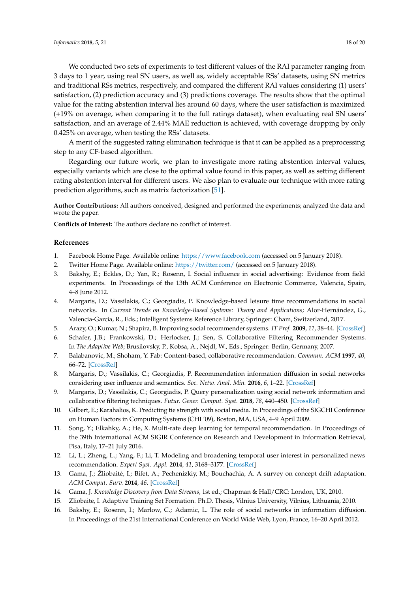We conducted two sets of experiments to test different values of the RAI parameter ranging from 3 days to 1 year, using real SN users, as well as, widely acceptable RSs' datasets, using SN metrics and traditional RSs metrics, respectively, and compared the different RAI values considering (1) users' satisfaction, (2) prediction accuracy and (3) predictions coverage. The results show that the optimal value for the rating abstention interval lies around 60 days, where the user satisfaction is maximized (+19% on average, when comparing it to the full ratings dataset), when evaluating real SN users' satisfaction, and an average of 2.44% MAE reduction is achieved, with coverage dropping by only 0.425% on average, when testing the RSs' datasets.

A merit of the suggested rating elimination technique is that it can be applied as a preprocessing step to any CF-based algorithm.

Regarding our future work, we plan to investigate more rating abstention interval values, especially variants which are close to the optimal value found in this paper, as well as setting different rating abstention interval for different users. We also plan to evaluate our technique with more rating prediction algorithms, such as matrix factorization [\[51\]](#page-19-12).

**Author Contributions:** All authors conceived, designed and performed the experiments; analyzed the data and wrote the paper.

**Conflicts of Interest:** The authors declare no conflict of interest.

#### **References**

- <span id="page-17-0"></span>1. Facebook Home Page. Available online: <https://www.facebook.com> (accessed on 5 January 2018).
- <span id="page-17-1"></span>2. Twitter Home Page. Available online: <https://twitter.com/> (accessed on 5 January 2018).
- <span id="page-17-2"></span>3. Bakshy, E.; Eckles, D.; Yan, R.; Rosenn, I. Social influence in social advertising: Evidence from field experiments. In Proceedings of the 13th ACM Conference on Electronic Commerce, Valencia, Spain, 4–8 June 2012.
- <span id="page-17-6"></span>4. Margaris, D.; Vassilakis, C.; Georgiadis, P. Knowledge-based leisure time recommendations in social networks. In *Current Trends on Knowledge-Based Systems: Theory and Applications*; Alor-Hernández, G., Valencia-García, R., Eds.; Intelligent Systems Reference Library, Springer: Cham, Switzerland, 2017.
- <span id="page-17-3"></span>5. Arazy, O.; Kumar, N.; Shapira, B. Improving social recommender systems. *IT Prof.* **2009**, *11*, 38–44. [\[CrossRef\]](http://dx.doi.org/10.1109/MITP.2009.76)
- <span id="page-17-4"></span>6. Schafer, J.B.; Frankowski, D.; Herlocker, J.; Sen, S. Collaborative Filtering Recommender Systems. In *The Adaptive Web*; Brusilovsky, P., Kobsa, A., Nejdl, W., Eds.; Springer: Berlin, Germany, 2007.
- <span id="page-17-5"></span>7. Balabanovic, M.; Shoham, Y. Fab: Content-based, collaborative recommendation. *Commun. ACM* **1997**, *40*, 66–72. [\[CrossRef\]](http://dx.doi.org/10.1145/245108.245124)
- <span id="page-17-7"></span>8. Margaris, D.; Vassilakis, C.; Georgiadis, P. Recommendation information diffusion in social networks considering user influence and semantics. *Soc. Netw. Anal. Min.* **2016**, *6*, 1–22. [\[CrossRef\]](http://dx.doi.org/10.1007/s13278-016-0416-z)
- <span id="page-17-8"></span>9. Margaris, D.; Vassilakis, C.; Georgiadis, P. Query personalization using social network information and collaborative filtering techniques. *Futur. Gener. Comput. Syst.* **2018**, *78*, 440–450. [\[CrossRef\]](http://dx.doi.org/10.1016/j.future.2017.03.015)
- <span id="page-17-9"></span>10. Gilbert, E.; Karahalios, K. Predicting tie strength with social media. In Proceedings of the SIGCHI Conference on Human Factors in Computing Systems (CHI '09), Boston, MA, USA, 4–9 April 2009.
- <span id="page-17-10"></span>11. Song, Y.; Elkahky, A.; He, X. Multi-rate deep learning for temporal recommendation. In Proceedings of the 39th International ACM SIGIR Conference on Research and Development in Information Retrieval, Pisa, Italy, 17–21 July 2016.
- <span id="page-17-11"></span>12. Li, L.; Zheng, L.; Yang, F.; Li, T. Modeling and broadening temporal user interest in personalized news recommendation. *Expert Syst. Appl.* **2014**, *41*, 3168–3177. [\[CrossRef\]](http://dx.doi.org/10.1016/j.eswa.2013.11.020)
- <span id="page-17-12"></span>13. Gama, J.; Žliobaitė, I.; Bifet, A.; Pechenizkiy, M.; Bouchachia, A. A survey on concept drift adaptation. *ACM Comput. Surv.* **2014**, *46*. [\[CrossRef\]](http://dx.doi.org/10.1145/2523813)
- <span id="page-17-13"></span>14. Gama, J. *Knowledge Discovery from Data Streams*, 1st ed.; Chapman & Hall/CRC: London, UK, 2010.
- <span id="page-17-14"></span>15. Zliobaite, I. Adaptive Training Set Formation. Ph.D. Thesis, Vilnius University, Vilnius, Lithuania, 2010.
- <span id="page-17-15"></span>16. Bakshy, E.; Rosenn, I.; Marlow, C.; Adamic, L. The role of social networks in information diffusion. In Proceedings of the 21st International Conference on World Wide Web, Lyon, France, 16–20 April 2012.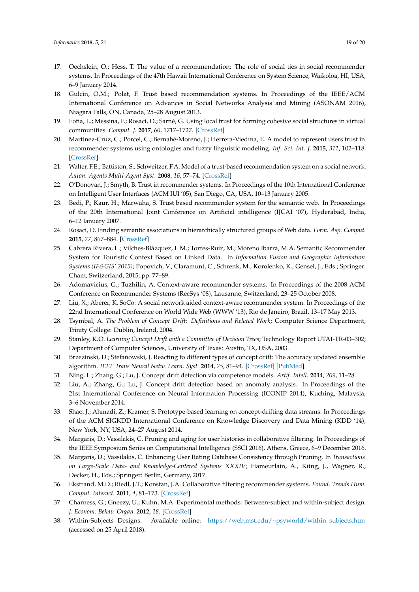- <span id="page-18-0"></span>17. Oechslein, O.; Hess, T. The value of a recommendation: The role of social ties in social recommender systems. In Proceedings of the 47th Hawaii International Conference on System Science, Waikoloa, HI, USA, 6–9 January 2014.
- <span id="page-18-1"></span>18. Gulcin, O.M.; Polat, F. Trust based recommendation systems. In Proceedings of the IEEE/ACM International Conference on Advances in Social Networks Analysis and Mining (ASONAM 2016), Niagara Falls, ON, Canada, 25–28 August 2013.
- <span id="page-18-2"></span>19. Fotia, L.; Messina, F.; Rosaci, D.; Sarné, G. Using local trust for forming cohesive social structures in virtual communities. *Comput. J.* **2017**, *60*, 1717–1727. [\[CrossRef\]](http://dx.doi.org/10.1093/comjnl/bxx072)
- <span id="page-18-3"></span>20. Martinez-Cruz, C.; Porcel, C.; Bernabé-Moreno, J.; Herrera-Viedma, E. A model to represent users trust in recommender systems using ontologies and fuzzy linguistic modeling. *Inf. Sci. Int. J.* **2015**, *311*, 102–118. [\[CrossRef\]](http://dx.doi.org/10.1016/j.ins.2015.03.013)
- <span id="page-18-4"></span>21. Walter, F.E.; Battiston, S.; Schweitzer, F.A. Model of a trust-based recommendation system on a social network. *Auton. Agents Multi-Agent Syst.* **2008**, *16*, 57–74. [\[CrossRef\]](http://dx.doi.org/10.1007/s10458-007-9021-x)
- <span id="page-18-5"></span>22. O'Donovan, J.; Smyth, B. Trust in recommender systems. In Proceedings of the 10th International Conference on Intelligent User Interfaces (ACM IUI '05), San Diego, CA, USA, 10–13 January 2005.
- <span id="page-18-6"></span>23. Bedi, P.; Kaur, H.; Marwaha, S. Trust based recommender system for the semantic web. In Proceedings of the 20th International Joint Conference on Artificial intelligence (IJCAI '07), Hyderabad, India, 6–12 January 2007.
- <span id="page-18-7"></span>24. Rosaci, D. Finding semantic associations in hierarchically structured groups of Web data. *Form. Asp. Comput.* **2015**, *27*, 867–884. [\[CrossRef\]](http://dx.doi.org/10.1007/s00165-015-0337-z)
- <span id="page-18-8"></span>25. Cabrera Rivera, L.; Vilches-Blázquez, L.M.; Torres-Ruiz, M.; Moreno Ibarra, M.A. Semantic Recommender System for Touristic Context Based on Linked Data. In *Information Fusion and Geographic Information Systems (IF&GIS' 2015)*; Popovich, V., Claramunt, C., Schrenk, M., Korolenko, K., Gensel, J., Eds.; Springer: Cham, Switzerland, 2015; pp. 77–89.
- <span id="page-18-9"></span>26. Adomavicius, G.; Tuzhilin, A. Context-aware recommender systems. In Proceedings of the 2008 ACM Conference on Recommender Systems (RecSys '08), Lausanne, Switzerland, 23–25 October 2008.
- <span id="page-18-10"></span>27. Liu, X.; Aberer, K. SoCo: A social network aided context-aware recommender system. In Proceedings of the 22nd International Conference on World Wide Web (WWW '13), Rio de Janeiro, Brazil, 13–17 May 2013.
- <span id="page-18-11"></span>28. Tsymbal, A. *The Problem of Concept Drift: Definitions and Related Work*; Computer Science Department, Trinity College: Dublin, Ireland, 2004.
- <span id="page-18-12"></span>29. Stanley, K.O. *Learning Concept Drift with a Committee of Decision Trees*; Technology Report UTAI-TR-03–302; Department of Computer Sciences, University of Texas: Austin, TX, USA, 2003.
- <span id="page-18-13"></span>30. Brzezinski, D.; Stefanowski, J. Reacting to different types of concept drift: The accuracy updated ensemble algorithm. *IEEE Trans Neural Netw. Learn. Syst.* **2014**, *25*, 81–94. [\[CrossRef\]](http://dx.doi.org/10.1109/TNNLS.2013.2251352) [\[PubMed\]](http://www.ncbi.nlm.nih.gov/pubmed/24806646)
- <span id="page-18-14"></span>31. Ning, L.; Zhang, G.; Lu, J. Concept drift detection via competence models. *Artif. Intell.* **2014**, *209*, 11–28.
- <span id="page-18-15"></span>32. Liu, A.; Zhang, G.; Lu, J. Concept drift detection based on anomaly analysis. In Proceedings of the 21st International Conference on Neural Information Processing (ICONIP 2014), Kuching, Malaysia, 3–6 November 2014.
- <span id="page-18-16"></span>33. Shao, J.; Ahmadi, Z.; Kramer, S. Prototype-based learning on concept-drifting data streams. In Proceedings of the ACM SIGKDD International Conference on Knowledge Discovery and Data Mining (KDD '14), New York, NY, USA, 24–27 August 2014.
- <span id="page-18-17"></span>34. Margaris, D.; Vassilakis, C. Pruning and aging for user histories in collaborative filtering. In Proceedings of the IEEE Symposium Series on Computational Intelligence (SSCI 2016), Athens, Greece, 6–9 December 2016.
- <span id="page-18-18"></span>35. Margaris, D.; Vassilakis, C. Enhancing User Rating Database Consistency through Pruning. In *Transactions on Large-Scale Data- and Knowledge-Centered Systems XXXIV*; Hameurlain, A., Küng, J., Wagner, R., Decker, H., Eds.; Springer: Berlin, Germany, 2017.
- <span id="page-18-19"></span>36. Ekstrand, M.D.; Riedl, J.T.; Konstan, J.A. Collaborative filtering recommender systems. *Found. Trends Hum. Comput. Interact.* **2011**, *4*, 81–173. [\[CrossRef\]](http://dx.doi.org/10.1561/1100000009)
- <span id="page-18-20"></span>37. Charness, G.; Gneezy, U.; Kuhn, M.A. Experimental methods: Between-subject and within-subject design. *J. Econom. Behav. Organ.* **2012**, *18*. [\[CrossRef\]](http://dx.doi.org/10.1016/j.jebo.2011.08.009)
- <span id="page-18-21"></span>38. Within-Subjects Designs. Available online: [https://web.mst.edu/~psyworld/within\\_subjects.htm](https://web.mst.edu/~psyworld/within_subjects.htm) (accessed on 25 April 2018).